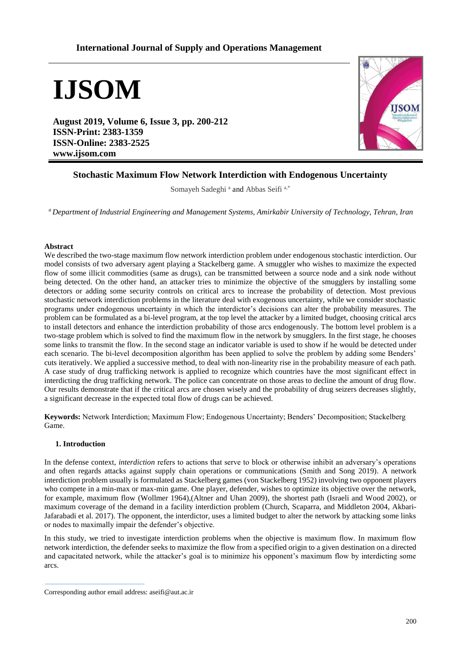# **International Journal of Supply and Operations Management**

**IJSOM**

**August 2019, Volume 6, Issue 3, pp. 200-212 ISSN-Print: 2383-1359 ISSN-Online: 2383-2525 www.ijsom.com**



# **Stochastic Maximum Flow Network Interdiction with Endogenous Uncertainty**

Somayeh Sadeghi<sup>a</sup> and Abbas Seifi<sup>a,\*</sup>

*<sup>a</sup>Department of Industrial Engineering and Management Systems, Amirkabir University of Technology, Tehran, Iran*

# **Abstract**

We described the two-stage maximum flow network interdiction problem under endogenous stochastic interdiction. Our model consists of two adversary agent playing a Stackelberg game. A smuggler who wishes to maximize the expected flow of some illicit commodities (same as drugs), can be transmitted between a source node and a sink node without being detected. On the other hand, an attacker tries to minimize the objective of the smugglers by installing some detectors or adding some security controls on critical arcs to increase the probability of detection. Most previous stochastic network interdiction problems in the literature deal with exogenous uncertainty, while we consider stochastic programs under endogenous uncertainty in which the interdictor's decisions can alter the probability measures. The problem can be formulated as a bi-level program, at the top level the attacker by a limited budget, choosing critical arcs to install detectors and enhance the interdiction probability of those arcs endogenously. The bottom level problem is a two-stage problem which is solved to find the maximum flow in the network by smugglers. In the first stage, he chooses some links to transmit the flow. In the second stage an indicator variable is used to show if he would be detected under each scenario. The bi-level decomposition algorithm has been applied to solve the problem by adding some Benders' cuts iteratively. We applied a successive method, to deal with non-linearity rise in the probability measure of each path. A case study of drug trafficking network is applied to recognize which countries have the most significant effect in interdicting the drug trafficking network. The police can concentrate on those areas to decline the amount of drug flow. Our results demonstrate that if the critical arcs are chosen wisely and the probability of drug seizers decreases slightly, a significant decrease in the expected total flow of drugs can be achieved.

**Keywords:** Network Interdiction; Maximum Flow; Endogenous Uncertainty; Benders' Decomposition; Stackelberg Game.

# **1. Introduction**

In the defense context, *interdiction* refers to actions that serve to block or otherwise inhibit an adversary's operations and often regards attacks against supply chain operations or communications (Smith and Song 2019). A network interdiction problem usually is formulated as Stackelberg games (von Stackelberg 1952) involving two opponent players who compete in a min-max or max-min game. One player, defender, wishes to optimize its objective over the network, for example, maximum flow (Wollmer 1964),(Altner and Uhan 2009), the shortest path (Israeli and Wood 2002), or maximum coverage of the demand in a facility interdiction problem (Church, Scaparra, and Middleton 2004, Akbari-Jafarabadi et al. 2017). The opponent, the interdictor, uses a limited budget to alter the network by attacking some links or nodes to maximally impair the defender's objective.

In this study, we tried to investigate interdiction problems when the objective is maximum flow. In maximum flow network interdiction, the defender seeks to maximize the flow from a specified origin to a given destination on a directed and capacitated network, while the attacker's goal is to minimize his opponent's maximum flow by interdicting some arcs.

Corresponding author email address: aseifi@aut.ac.ir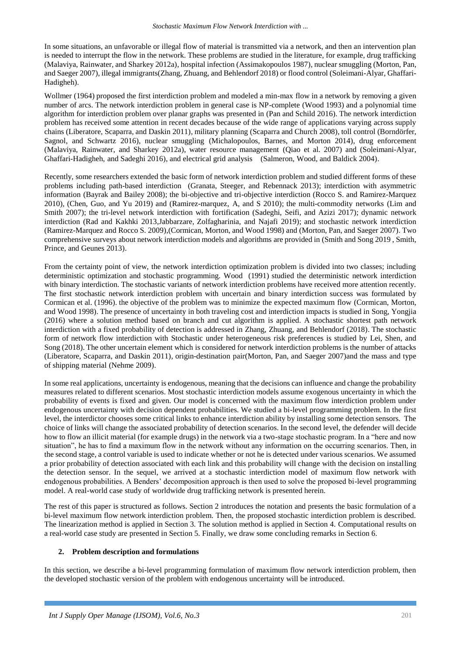In some situations, an unfavorable or illegal flow of material is transmitted via a network, and then an intervention plan is needed to interrupt the flow in the network. These problems are studied in the literature, for example, drug trafficking (Malaviya, Rainwater, and Sharkey 2012a), hospital infection (Assimakopoulos 1987), nuclear smuggling (Morton, Pan, and Saeger 2007), illegal immigrants(Zhang, Zhuang, and Behlendorf 2018) or flood control (Soleimani-Alyar, Ghaffari-Hadigheh).

Wollmer (1964) proposed the first interdiction problem and modeled a min-max flow in a network by removing a given number of arcs. The network interdiction problem in general case is NP-complete (Wood 1993) and a polynomial time algorithm for interdiction problem over planar graphs was presented in (Pan and Schild 2016). The network interdiction problem has received some attention in recent decades because of the wide range of applications varying across supply chains (Liberatore, Scaparra, and Daskin 2011), military planning (Scaparra and Church 2008), toll control (Borndörfer, Sagnol, and Schwartz 2016), nuclear smuggling (Michalopoulos, Barnes, and Morton 2014), drug enforcement (Malaviya, Rainwater, and Sharkey 2012a), water resource management (Qiao et al. 2007) and (Soleimani-Alyar, Ghaffari-Hadigheh, and Sadeghi 2016), and electrical grid analysis (Salmeron, Wood, and Baldick 2004).

Recently, some researchers extended the basic form of network interdiction problem and studied different forms of these problems including path-based interdiction (Granata, Steeger, and Rebennack 2013); interdiction with asymmetric information (Bayrak and Bailey 2008); the bi-objective and tri-objective interdiction (Rocco S. and Ramirez-Marquez 2010), (Chen, Guo, and Yu 2019) and (Ramirez-marquez, A, and S 2010); the multi-commodity networks (Lim and Smith 2007); the tri-level network interdiction with fortification (Sadeghi, Seifi, and Azizi 2017); dynamic network interdiction (Rad and Kakhki 2013,Jabbarzare, Zolfagharinia, and Najafi 2019); and stochastic network interdiction (Ramirez-Marquez and Rocco S. 2009),(Cormican, Morton, and Wood 1998) and (Morton, Pan, and Saeger 2007). Two comprehensive surveys about network interdiction models and algorithms are provided in (Smith and Song 2019 , Smith, Prince, and Geunes 2013).

From the certainty point of view, the network interdiction optimization problem is divided into two classes; including deterministic optimization and stochastic programming. Wood (1991) studied the deterministic network interdiction with binary interdiction. The stochastic variants of network interdiction problems have received more attention recently. The first stochastic network interdiction problem with uncertain and binary interdiction success was formulated by Cormican et al. (1996). the objective of the problem was to minimize the expected maximum flow (Cormican, Morton, and Wood 1998). The presence of uncertainty in both traveling cost and interdiction impacts is studied in Song, Yongjia (2016) where a solution method based on branch and cut algorithm is applied. A stochastic shortest path network interdiction with a fixed probability of detection is addressed in Zhang, Zhuang, and Behlendorf (2018). The stochastic form of network flow interdiction with Stochastic under heterogeneous risk preferences is studied by Lei, Shen, and Song (2018). The other uncertain element which is considered for network interdiction problems is the number of attacks (Liberatore, Scaparra, and Daskin 2011), origin-destination pair(Morton, Pan, and Saeger 2007)and the mass and type of shipping material (Nehme 2009).

In some real applications, uncertainty is endogenous, meaning that the decisions can influence and change the probability measures related to different scenarios. Most stochastic interdiction models assume exogenous uncertainty in which the probability of events is fixed and given. Our model is concerned with the maximum flow interdiction problem under endogenous uncertainty with decision dependent probabilities. We studied a bi-level programming problem. In the first level, the interdictor chooses some critical links to enhance interdiction ability by installing some detection sensors. The choice of links will change the associated probability of detection scenarios. In the second level, the defender will decide how to flow an illicit material (for example drugs) in the network via a two-stage stochastic program. In a "here and now situation", he has to find a maximum flow in the network without any information on the occurring scenarios. Then, in the second stage, a control variable is used to indicate whether or not he is detected under various scenarios. We assumed a prior probability of detection associated with each link and this probability will change with the decision on installing the detection sensor. In the sequel, we arrived at a stochastic interdiction model of maximum flow network with endogenous probabilities. A Benders' decomposition approach is then used to solve the proposed bi-level programming model. A real-world case study of worldwide drug trafficking network is presented herein.

The rest of this paper is structured as follows. Section 2 introduces the notation and presents the basic formulation of a bi-level maximum flow network interdiction problem. Then, the proposed stochastic interdiction problem is described. The linearization method is applied in Section 3. The solution method is applied in Section 4. Computational results on a real-world case study are presented in Section 5. Finally, we draw some concluding remarks in Section 6.

# **2. Problem description and formulations**

In this section, we describe a bi-level programming formulation of maximum flow network interdiction problem, then the developed stochastic version of the problem with endogenous uncertainty will be introduced.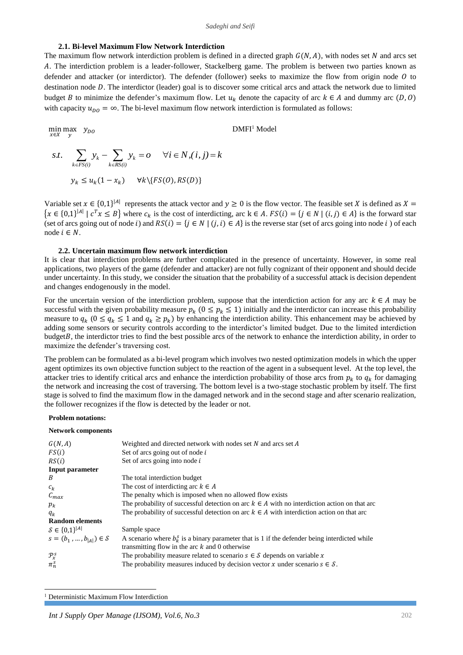### **2.1. Bi-level Maximum Flow Network Interdiction**

The maximum flow network interdiction problem is defined in a directed graph  $G(N, A)$ , with nodes set N and arcs set . The interdiction problem is a leader-follower, Stackelberg game. The problem is between two parties known as defender and attacker (or interdictor). The defender (follower) seeks to maximize the flow from origin node  $\hat{U}$  to destination node D. The interdictor (leader) goal is to discover some critical arcs and attack the network due to limited budget *B* to minimize the defender's maximum flow. Let  $u_k$  denote the capacity of arc  $k \in A$  and dummy arc  $(D, 0)$ with capacity  $u_{DQ} = \infty$ . The bi-level maximum flow network interdiction is formulated as follows:

$$
\min_{x \in X} \max_{y} y_{DO}
$$
  
DMFI<sup>1</sup> Model  
  

$$
s.t. \sum_{k \in FS(i)} y_k - \sum_{k \in RS(i)} y_k = O \quad \forall i \in N, (i, j) = k
$$
  

$$
y_k \le u_k (1 - x_k) \quad \forall k \setminus \{FS(O), RS(D)\}
$$

Variable set  $x \in \{0,1\}^{|A|}$  represents the attack vector and  $y \ge 0$  is the flow vector. The feasible set X is defined as  $X =$  $\{x \in \{0,1\}^{|A|} \mid c^T x \leq B\}$  where  $c_k$  is the cost of interdicting, arc  $k \in A$ .  $FS(i) = \{j \in N \mid (i,j) \in A\}$  is the forward star (set of arcs going out of node i) and  $RS(i) = \{j \in N \mid (j, i) \in A\}$  is the reverse star (set of arcs going into node i) of each node  $i \in N$ .

#### **2.2. Uncertain maximum flow network interdiction**

It is clear that interdiction problems are further complicated in the presence of uncertainty. However, in some real applications, two players of the game (defender and attacker) are not fully cognizant of their opponent and should decide under uncertainty. In this study, we consider the situation that the probability of a successful attack is decision dependent and changes endogenously in the model.

For the uncertain version of the interdiction problem, suppose that the interdiction action for any arc  $k \in A$  may be successful with the given probability measure  $p_k$  ( $0 \leq p_k \leq 1$ ) initially and the interdictor can increase this probability measure to  $q_k$  ( $0 \le q_k \le 1$  and  $q_k \ge p_k$ ) by enhancing the interdiction ability. This enhancement may be achieved by adding some sensors or security controls according to the interdictor's limited budget. Due to the limited interdiction  $budgetB$ , the interdictor tries to find the best possible arcs of the network to enhance the interdiction ability, in order to maximize the defender's traversing cost.

The problem can be formulated as a bi-level program which involves two nested optimization models in which the upper agent optimizes its own objective function subject to the reaction of the agent in a subsequent level. At the top level, the attacker tries to identify critical arcs and enhance the interdiction probability of those arcs from  $p_k$  to  $q_k$  for damaging the network and increasing the cost of traversing. The bottom level is a two-stage stochastic problem by itself. The first stage is solved to find the maximum flow in the damaged network and in the second stage and after scenario realization, the follower recognizes if the flow is detected by the leader or not.

#### **Problem notations:**

#### **Network components**

| G(N, A)                       | Weighted and directed network with nodes set $N$ and arcs set $A$                                                                                    |
|-------------------------------|------------------------------------------------------------------------------------------------------------------------------------------------------|
| FS(i)                         | Set of arcs going out of node $i$                                                                                                                    |
| RS(i)                         | Set of arcs going into node $i$                                                                                                                      |
| Input parameter               |                                                                                                                                                      |
| B                             | The total interdiction budget                                                                                                                        |
| $c_k$                         | The cost of interdicting arc $k \in A$                                                                                                               |
| $\mathcal{C}_{max}$           | The penalty which is imposed when no allowed flow exists                                                                                             |
| $p_k$                         | The probability of successful detection on arc $k \in A$ with no interdiction action on that arc                                                     |
| $q_k$                         | The probability of successful detection on arc $k \in A$ with interdiction action on that arc                                                        |
| <b>Random elements</b>        |                                                                                                                                                      |
| $S \in \{0,1\}^{ A }$         | Sample space                                                                                                                                         |
| $s = (b_1, , b_{ A }) \in S$  | A scenario where $b_k^s$ is a binary parameter that is 1 if the defender being interdicted while<br>transmitting flow in the arc $k$ and 0 otherwise |
| $\mathcal{P}^{\mathcal{S}}_x$ | The probability measure related to scenario $s \in S$ depends on variable x                                                                          |
| $\pi_n^s$                     | The probability measures induced by decision vector x under scenario $s \in \mathcal{S}$ .                                                           |

<sup>1</sup> Deterministic Maximum Flow Interdiction

 $\overline{a}$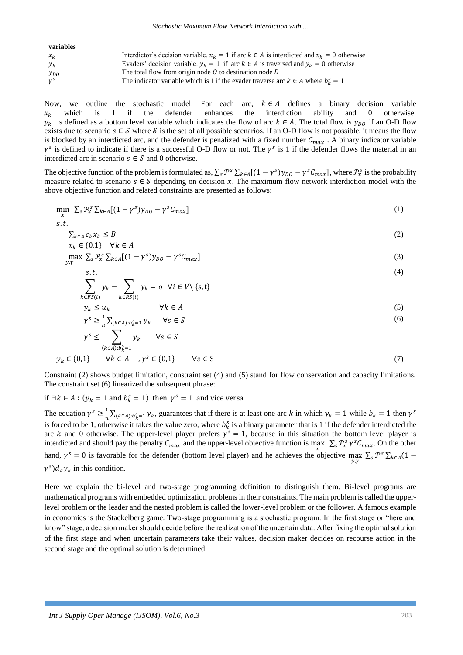| variables    |                                                                                                    |
|--------------|----------------------------------------------------------------------------------------------------|
| $x_k$        | Interdictor's decision variable. $x_k = 1$ if arc $k \in A$ is interdicted and $x_k = 0$ otherwise |
| $y_k$        | Evaders' decision variable. $y_k = 1$ if arc $k \in A$ is traversed and $y_k = 0$ otherwise        |
| $y_{DO}$     | The total flow from origin node $\theta$ to destination node $\theta$                              |
| $\gamma^{S}$ | The indicator variable which is 1 if the evader traverse arc $k \in A$ where $b_k^s = 1$           |

Now, we outline the stochastic model. For each arc,  $k \in A$  defines a binary decision variable  $x_k$  which is 1 if the defender enhances the interdiction ability and 0 otherwise.  $y_k$  is defined as a bottom level variable which indicates the flow of arc  $k \in A$ . The total flow is  $y_{DQ}$  if an O-D flow exists due to scenario  $s \in S$  where S is the set of all possible scenarios. If an O-D flow is not possible, it means the flow is blocked by an interdicted arc, and the defender is penalized with a fixed number  $C_{max}$ . A binary indicator variable  $\gamma^s$  is defined to indicate if there is a successful O-D flow or not. The  $\gamma^s$  is 1 if the defender flows the material in an interdicted arc in scenario  $s \in S$  and 0 otherwise.

The objective function of the problem is formulated as,  $\sum_{s} \mathcal{P}^{s} \sum_{k \in A} [(1 - \gamma^{s}) y_{D0} - \gamma^{s} C_{max}]$ , where  $\mathcal{P}^{s}_{x}$  is the probability measure related to scenario  $s \in \mathcal{S}$  depending on decision x. The maximum flow network interdiction model with the above objective function and related constraints are presented as follows:

$$
\min_{x} \sum_{s} \mathcal{P}_{x}^{s} \sum_{k \in A} [(1 - \gamma^{s}) y_{D0} - \gamma^{s} C_{max}] \tag{1}
$$

$$
s.t. \sum_{k \in A} c_k x_k \le B \n x_k \in \{0,1\} \quad \forall k \in A
$$
\n
$$
(2)
$$

$$
\max_{y,\gamma} \sum_{s} \mathcal{P}_{x}^{s} \sum_{k \in A} [(1 - \gamma^{s}) y_{D0} - \gamma^{s} C_{max}]
$$
\n(3)

$$
\sum_{i=1}^{S.L.} \sum_{i,j=1}^{S.L.} \sum_{i,j=1}^{S.L.} \sum_{i,j=1}^{S.L.} \sum_{i,j=1}^{S.L.} \sum_{i,j=1}^{S.L.} \sum_{i,j=1}^{S.L.} \sum_{i,j=1}^{S.L.} \sum_{i,j=1}^{S.L.} \sum_{i,j=1}^{S.L.} \sum_{i,j=1}^{S.L.} \sum_{i,j=1}^{S.L.} \sum_{i,j=1}^{S.L.} \sum_{i,j=1}^{S.L.} \sum_{i,j=1}^{S.L.} \sum_{i,j=1}^{S.L.} \sum_{i,j=1}^{S.L.} \sum_{i,j=1}^{S.L.} \sum_{i,j=1}^{S.L.} \sum_{i,j=1}^{S.L.} \sum_{i,j=1}^{S.L.} \sum_{i,j=1}^{S.L.} \sum_{i,j=1}^{S.L.} \sum_{i,j=1}^{S.L.} \sum_{i,j=1}^{S.L.} \sum_{i,j=1}^{S.L.} \sum_{i,j=1}^{S.L.} \sum_{i,j=1}^{S.L.} \sum_{i,j=1}^{S.L.} \sum_{i,j=1}^{S.L.} \sum_{i,j=1}^{S.L.} \sum_{i,j=1}^{S.L.} \sum_{i,j=1}^{S.L.} \sum_{i,j=1}^{S.L.} \sum_{i,j=1}^{S.L.} \sum_{i,j=1}^{S.L.} \sum_{i,j=1}^{S.L.} \sum_{i,j=1}^{S.L.} \sum_{i,j=1}^{S.L.} \sum_{i,j=1}^{S.L.} \sum_{i,j=1}^{S.L.} \sum_{i,j=1}^{S.L.} \sum_{i,j=1}^{S.L.} \sum_{i,j=1}^{S.L.} \sum_{i,j=1}^{S.L.} \sum_{i,j=1}^{S.L.} \sum_{i,j=1}^{S.L.} \sum_{i,j=1}^{S.L.} \sum_{i,j=1}^{S.L.} \sum_{i,j=1}^{S.L.} \sum_{i,j=1}^{S.L.} \sum_{i,j=1}^{S.L.} \sum_{i,j=1}^{S.L.} \sum_{i,j=1}^{S.L.} \sum_{i,j=1}^{S.L.} \sum_{i,j=1}^{S.L.} \sum_{i,j=1}^{S.L.} \sum_{i,j=1}^{S.L.} \sum_{i,j=1
$$

$$
\sum_{k \in FS(i)} y_k - \sum_{k \in RS(i)} y_k = o \quad \forall i \in V \setminus \{s, t\}
$$
\n
$$
y_k \le u_k \qquad \forall k \in A
$$
\n(5)

$$
\gamma^s \ge \frac{1}{n} \sum_{(k \in A): b_k^s = 1} y_k \qquad \forall s \in S
$$
\n
$$
(6)
$$

$$
\gamma^{s} \leq \sum_{(k \in A):b_{k}^{s}=1} y_{k} \quad \forall s \in S
$$
  

$$
y_{k} \in \{0,1\} \quad \forall k \in A \quad ,\gamma^{s} \in \{0,1\} \quad \forall s \in S
$$
 (7)

Constraint (2) shows budget limitation, constraint set (4) and (5) stand for flow conservation and capacity limitations. The constraint set (6) linearized the subsequent phrase:

if ∃ $k \in A$ :  $(y_k = 1$  and  $b_k^s = 1)$  then  $\gamma^s = 1$  and vice versa

The equation  $\gamma^s \geq \frac{1}{s}$  $\frac{1}{n}\sum_{(k\in A):b_k^S=1} y_k$ , guarantees that if there is at least one arc k in which  $y_k = 1$  while  $b_k = 1$  then  $\gamma^s$ is forced to be 1, otherwise it takes the value zero, where  $b_k^s$  is a binary parameter that is 1 if the defender interdicted the arc k and 0 otherwise. The upper-level player prefers  $\gamma^s = 1$ , because in this situation the bottom level player is interdicted and should pay the penalty  $C_{max}$  and the upper-level objective function is max  $\sum_s \mathcal{P}^s_x \gamma^s C_{max}$ . On the other hand,  $\gamma^s = 0$  is favorable for the defender (bottom level player) and he achieves the objective max  $\sum_s \mathcal{P}^s \sum_{k \in A} (1 (\gamma^s) d_k y_k$  in this condition.

Here we explain the bi-level and two-stage programming definition to distinguish them. Bi-level programs are mathematical programs with embedded optimization problems in their constraints. The main problem is called the upperlevel problem or the leader and the nested problem is called the lower-level problem or the follower. A famous example in economics is the Stackelberg game. Two-stage programming is a stochastic program. In the first stage or "here and know" stage, a decision maker should decide before the realization of the uncertain data. After fixing the optimal solution of the first stage and when uncertain parameters take their values, decision maker decides on recourse action in the second stage and the optimal solution is determined.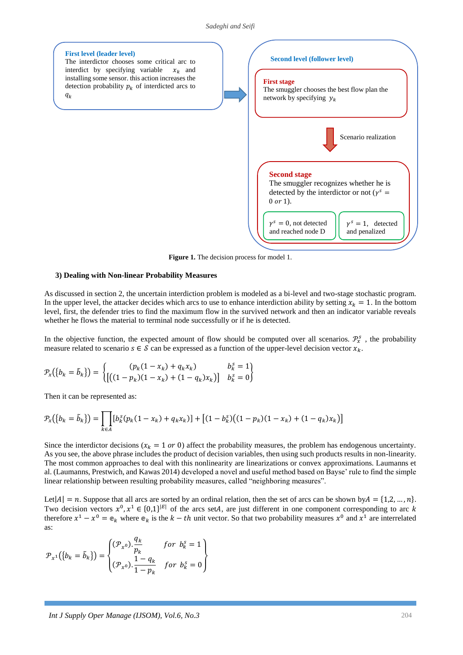#### *Sadeghi and Seifi*



**Figure 1.** The decision process for model 1.

### **3) Dealing with Non-linear Probability Measures**

As discussed in section 2, the uncertain interdiction problem is modeled as a bi-level and two-stage stochastic program. In the upper level, the attacker decides which arcs to use to enhance interdiction ability by setting  $x_k = 1$ . In the bottom level, first, the defender tries to find the maximum flow in the survived network and then an indicator variable reveals whether he flows the material to terminal node successfully or if he is detected.

In the objective function, the expected amount of flow should be computed over all scenarios.  $\mathcal{P}_x^s$ , the probability measure related to scenario  $s \in \mathcal{S}$  can be expressed as a function of the upper-level decision vector  $x_k$ .

$$
\mathcal{P}_x(\{b_k = \tilde{b}_k\}) = \begin{cases} (p_k(1 - x_k) + q_k x_k) & b_k^s = 1 \\ [((1 - p_k)(1 - x_k) + (1 - q_k)x_k)] & b_k^s = 0 \end{cases}
$$

Then it can be represented as:

$$
\mathcal{P}_{x}(\{b_{k} = \tilde{b}_{k}\}) = \prod_{k \in A} [b_{k}^{S}(p_{k}(1 - x_{k}) + q_{k}x_{k})] + [(1 - b_{k}^{S})((1 - p_{k})(1 - x_{k}) + (1 - q_{k})x_{k})]
$$

Since the interdictor decisions ( $x_k = 1$  or 0) affect the probability measures, the problem has endogenous uncertainty. As you see, the above phrase includes the product of decision variables, then using such products results in non-linearity. The most common approaches to deal with this nonlinearity are linearizations or convex approximations. Laumanns et al. (Laumanns, Prestwich, and Kawas 2014) developed a novel and useful method based on Bayse' rule to find the simple linear relationship between resulting probability measures, called "neighboring measures".

Let  $|A| = n$ . Suppose that all arcs are sorted by an ordinal relation, then the set of arcs can be shown by  $A = \{1, 2, ..., n\}$ . Two decision vectors  $x^0, x^1 \in \{0,1\}^{|E|}$  of the arcs setA, are just different in one component corresponding to arc k therefore  $x^1 - x^0 = e_k$  where  $e_k$  is the  $k - th$  unit vector. So that two probability measures  $x^0$  and  $x^1$  are interrelated as:

$$
\mathcal{P}_{x^1}(\lbrace b_k = \tilde{b}_k \rbrace) = \begin{cases} (\mathcal{P}_{x^0}).\frac{q_k}{p_k} & \text{for } b_k^s = 1 \\ (\mathcal{P}_{x^0}).\frac{1 - q_k}{1 - p_k} & \text{for } b_k^s = 0 \end{cases}
$$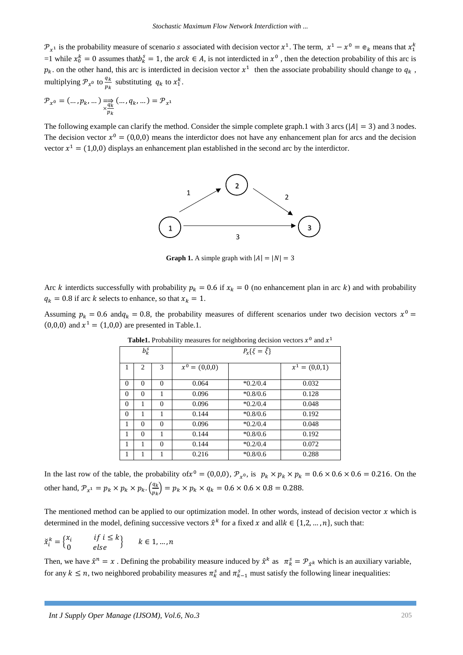$\mathcal{P}_{x^1}$  is the probability measure of scenario *s* associated with decision vector  $x^1$ . The term,  $x^1 - x^0 = \mathfrak{e}_k$  means that  $x_1^k$ =1 while  $x_0^k = 0$  assumes that  $b_k^s = 1$ , the arc  $k \in A$ , is not interdicted in  $x^0$ , then the detection probability of this arc is  $p_k$  on the other hand, this arc is interdicted in decision vector  $x^1$  then the associate probability should change to  $q_k$ , multiplying  $\mathcal{P}_{\chi^0}$  to  $\frac{q_k}{n_k}$  $\frac{q_k}{p_k}$  substituting  $q_k$  to  $x_1^k$ .

$$
\mathcal{P}_{x^0} = (\dots, p_k, \dots) \underset{\mathcal{P}_k}{\Longrightarrow} (\dots, q_k, \dots) = \mathcal{P}_{x^1}
$$

The following example can clarify the method. Consider the simple complete graph.1 with 3 arcs ( $|A| = 3$ ) and 3 nodes. The decision vector  $x^0 = (0,0,0)$  means the interdictor does not have any enhancement plan for arcs and the decision vector  $x^1 = (1,0,0)$  displays an enhancement plan established in the second arc by the interdictor.



**Graph 1.** A simple graph with  $|A| = |N| = 3$ 

Arc k interdicts successfully with probability  $p_k = 0.6$  if  $x_k = 0$  (no enhancement plan in arc k) and with probability  $q_k = 0.8$  if arc k selects to enhance, so that  $x_k = 1$ .

Assuming  $p_k = 0.6$  and  $q_k = 0.8$ , the probability measures of different scenarios under two decision vectors  $x^0 =$  $(0,0,0)$  and  $x^1 = (1,0,0)$  are presented in Table.1.

| <b>THERE</b> : I FOUGHING INCREASED TO TREATHER GOVERNMENT VOCTORS A THING A |          |          |                           |            |                 |  |
|------------------------------------------------------------------------------|----------|----------|---------------------------|------------|-----------------|--|
|                                                                              | $b_k^s$  |          | $P_x\{\xi=\tilde{\xi}\}\$ |            |                 |  |
| 1                                                                            | 2        | 3        | $x^0 = (0,0,0)$           |            | $x^1 = (0,0,1)$ |  |
| $\mathbf{0}$                                                                 | $\Omega$ | $\Omega$ | 0.064                     | $*0.2/0.4$ | 0.032           |  |
| $\mathbf{0}$                                                                 | $\Omega$ | 1        | 0.096                     | $*0.8/0.6$ | 0.128           |  |
| $\mathbf{0}$                                                                 | 1        | $\Omega$ | 0.096                     | $*0.2/0.4$ | 0.048           |  |
| $\mathbf{0}$                                                                 | 1        | 1        | 0.144                     | $*0.8/0.6$ | 0.192           |  |
| 1                                                                            | $\Omega$ | $\Omega$ | 0.096                     | $*0.2/0.4$ | 0.048           |  |
| 1                                                                            | $\Omega$ | 1        | 0.144                     | $*0.8/0.6$ | 0.192           |  |
| 1                                                                            |          | $\Omega$ | 0.144                     | $*0.2/0.4$ | 0.072           |  |
| 1                                                                            |          |          | 0.216                     | $*0.8/0.6$ | 0.288           |  |

**Table1.** Probability measures for neighboring decision vectors  $x^0$  and  $x^1$ 

In the last row of the table, the probability of  $x^0 = (0,0,0)$ ,  $\mathcal{P}_{x^0}$ , is  $p_k \times p_k \times p_k = 0.6 \times 0.6 \times 0.6 = 0.216$ . On the other hand,  $\mathcal{P}_{\chi^1} = p_k \times p_k \times p_k \cdot \left(\frac{q_k}{n_k}\right)$  $\frac{q_k}{p_k}$ ) =  $p_k \times p_k \times q_k$  = 0.6  $\times$  0.6  $\times$  0.8 = 0.288.

The mentioned method can be applied to our optimization model. In other words, instead of decision vector  $x$  which is determined in the model, defining successive vectors  $\hat{x}^k$  for a fixed x and all $k \in \{1,2,\dots,n\}$ , such that:

$$
\check{x}_i^k = \begin{cases} x_i & \text{if } i \le k \\ 0 & \text{else} \end{cases} \quad k \in 1, \dots, n
$$

Then, we have  $\hat{x}^n = x$ . Defining the probability measure induced by  $\hat{x}^k$  as  $\pi_k^s = \mathcal{P}_{\hat{x}^k}$  which is an auxiliary variable, for any  $k \leq n$ , two neighbored probability measures  $\pi_k^s$  and  $\pi_{k-1}^s$  must satisfy the following linear inequalities: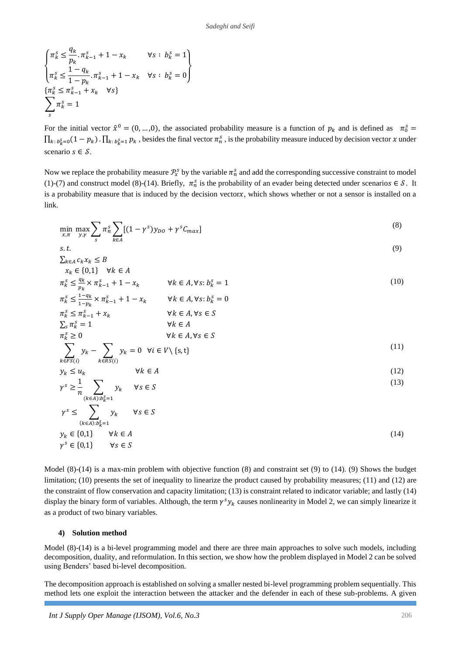$$
\begin{cases} \pi_k^s \le \frac{q_k}{p_k} \cdot \pi_{k-1}^s + 1 - x_k & \forall s : b_k^s = 1 \\ \pi_k^s \le \frac{1 - q_k}{1 - p_k} \cdot \pi_{k-1}^s + 1 - x_k & \forall s : b_k^s = 0 \end{cases}
$$
  

$$
\begin{cases} \pi_k^s \le \pi_{k-1}^s + x_k & \forall s \} \\ \sum_s \pi_k^s = 1 \end{cases}
$$

For the initial vector  $\hat{x}^0 = (0, ..., 0)$ , the associated probability measure is a function of  $p_k$  and is defined as  $\pi_0^s =$  $\prod_{k: b_k^s=0} (1-p_k) \cdot \prod_{k: b_k^s=1} p_k$ , besides the final vector  $\pi_n^s$ , is the probability measure induced by decision vector x under scenario  $s \in \mathcal{S}$ .

Now we replace the probability measure  $\mathcal{P}_x^s$  by the variable  $\pi_n^s$  and add the corresponding successive constraint to model (1)-(7) and construct model (8)-(14). Briefly,  $\pi_n^s$  is the probability of an evader being detected under scenarios  $\in \mathcal{S}$ . It is a probability measure that is induced by the decision vectorx, which shows whether or not a sensor is installed on a link.

$$
\min_{x,\pi} \max_{y,y} \sum_{s} \pi_n^s \sum_{k \in A} [(1-\gamma^s)y_{DO} + \gamma^s C_{max}]
$$
\n(8)

$$
s.t. \qquad (9)
$$
\n
$$
\sum_{k \in A} c_k x_k \le B
$$

$$
x_k \in \{0,1\} \quad \forall k \in A
$$
  
\n
$$
\pi_k^s \le \frac{q_k}{p_k} \times \pi_{k-1}^s + 1 - x_k \qquad \forall k \in A, \forall s: b_k^s = 1
$$
\n(10)

$$
\pi_k^s \le \frac{1 - q_k}{1 - p_k} \times \pi_{k-1}^s + 1 - x_k \qquad \forall k \in A, \forall s: b_k^s = 0
$$
  

$$
\pi_k^s \le \pi_{k-1}^s + x_k \qquad \forall k \in A, \forall s \in S
$$
  

$$
\sum_s \pi_k^s = 1 \qquad \forall k \in A
$$

$$
\pi_k^s \ge 0 \qquad \forall k \in A, \forall s \in S
$$
  

$$
\sum y_k - \sum y_k = 0 \quad \forall i \in V \setminus \{s, t\}
$$
 (11)

$$
y_k \le u_k \qquad \qquad \forall k \in A \tag{12}
$$

$$
\gamma^s \ge \frac{1}{n} \sum_{k \in \mathbb{Z}^s} y_k \quad \forall s \in S \tag{13}
$$

$$
\gamma^{s} \leq \sum_{(k \in A): b_{k}^{s} = 1} \gamma_{k} \qquad \forall s \in S
$$
\n
$$
y_{k} \in \{0,1\} \qquad \forall k \in A
$$
\n
$$
\gamma^{s} \in \{0,1\} \qquad \forall k \in A
$$
\n
$$
\gamma^{s} \in \{0,1\} \qquad \forall s \in S
$$
\n
$$
(14)
$$

Model (8)-(14) is a max-min problem with objective function (8) and constraint set (9) to (14). (9) Shows the budget limitation; (10) presents the set of inequality to linearize the product caused by probability measures; (11) and (12) are the constraint of flow conservation and capacity limitation; (13) is constraint related to indicator variable; and lastly (14) display the binary form of variables. Although, the term  $\gamma^s y_k$  causes nonlinearity in Model 2, we can simply linearize it as a product of two binary variables.

# **4) Solution method**

 $k \in FS(i)$ 

 $k \in RS(i)$ 

Model (8)-(14) is a bi-level programming model and there are three main approaches to solve such models, including decomposition, duality, and reformulation. In this section, we show how the problem displayed in Model 2 can be solved using Benders' based bi-level decomposition.

The decomposition approach is established on solving a smaller nested bi-level programming problem sequentially. This method lets one exploit the interaction between the attacker and the defender in each of these sub-problems. A given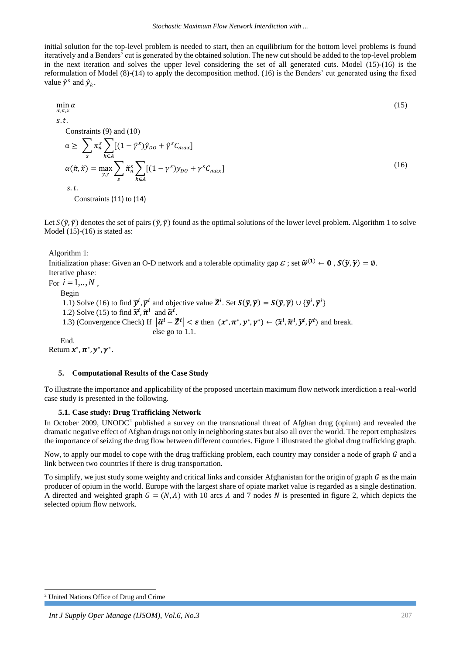initial solution for the top-level problem is needed to start, then an equilibrium for the bottom level problems is found iteratively and a Benders' cut is generated by the obtained solution. The new cut should be added to the top-level problem in the next iteration and solves the upper level considering the set of all generated cuts. Model (15)-(16) is the reformulation of Model (8)-(14) to apply the decomposition method. (16) is the Benders' cut generated using the fixed value  $\hat{\gamma}^s$  and  $\hat{y}_k$ .

$$
\min_{\alpha,\pi,x} \alpha \tag{15}
$$
\n
$$
s.t.
$$

Constraints (9) and (10)

$$
\alpha \geq \sum_{s} \pi_{n}^{s} \sum_{k \in A} [(1 - \hat{\gamma}^{s}) \hat{y}_{DO} + \hat{\gamma}^{s} C_{max}]
$$
  
\n
$$
\alpha(\tilde{\pi}, \tilde{x}) = \max_{y, \gamma} \sum_{s} \tilde{\pi}_{n}^{s} \sum_{k \in A} [(1 - \gamma^{s}) y_{DO} + \gamma^{s} C_{max}]
$$
  
\ns.t.

Constraints (11) to (14)

Let  $S(\tilde{y}, \tilde{y})$  denotes the set of pairs  $(\tilde{y}, \tilde{y})$  found as the optimal solutions of the lower level problem. Algorithm 1 to solve Model  $(15)-(16)$  is stated as:

Algorithm 1:

Initialization phase: Given an O-D network and a tolerable optimality gap  $\mathcal{E}$  ; set  $\widetilde{w}^{(1)} \leftarrow 0$  ,  $S(\widetilde{y}, \widetilde{\gamma}) = \emptyset$ . Iterative phase: For  $i = 1, ..., N$ , Begin 1.1) Solve (16) to find  $\tilde{\mathbf{y}}^i$ ,  $\tilde{\mathbf{y}}^i$  and objective value  $\tilde{\mathbf{Z}}^i$ . Set  $\mathbf{S}(\tilde{\mathbf{y}}, \tilde{\mathbf{y}}) = \mathbf{S}(\tilde{\mathbf{y}}, \tilde{\mathbf{y}}) \cup {\tilde{\mathbf{y}}^i}, \tilde{\mathbf{y}}^i$ 1.2) Solve (15) to find  $\tilde{\chi}^i$ ,  $\tilde{\pi}^i$  and  $\tilde{\alpha}^i$ . 1.3) (Convergence Check) If  $|\tilde{\alpha}^i - \tilde{\alpha}^i| < \varepsilon$  then  $(x^*, \pi^*, y^*, \gamma^*) \leftarrow (\tilde{x}^i, \tilde{\pi}^i, \tilde{y}^i, \tilde{\gamma}^i)$  and break. else go to 1.1. End.

Return  $x^*, \pi^*, y^*, \gamma^*.$ 

# **5. Computational Results of the Case Study**

To illustrate the importance and applicability of the proposed uncertain maximum flow network interdiction a real-world case study is presented in the following.

# **5.1. Case study: Drug Trafficking Network**

In October 2009, UNODC<sup>2</sup> published a survey on the transnational threat of Afghan drug (opium) and revealed the dramatic negative effect of Afghan drugs not only in neighboring states but also all over the world. The report emphasizes the importance of seizing the drug flow between different countries. Figure 1 illustrated the global drug trafficking graph.

Now, to apply our model to cope with the drug trafficking problem, each country may consider a node of graph  $G$  and a link between two countries if there is drug transportation.

To simplify, we just study some weighty and critical links and consider Afghanistan for the origin of graph  $G$  as the main producer of opium in the world. Europe with the largest share of opiate market value is regarded as a single destination. A directed and weighted graph  $G = (N, A)$  with 10 arcs A and 7 nodes N is presented in figure 2, which depicts the selected opium flow network.

 $\overline{a}$ 

<sup>2</sup> United Nations Office of Drug and Crime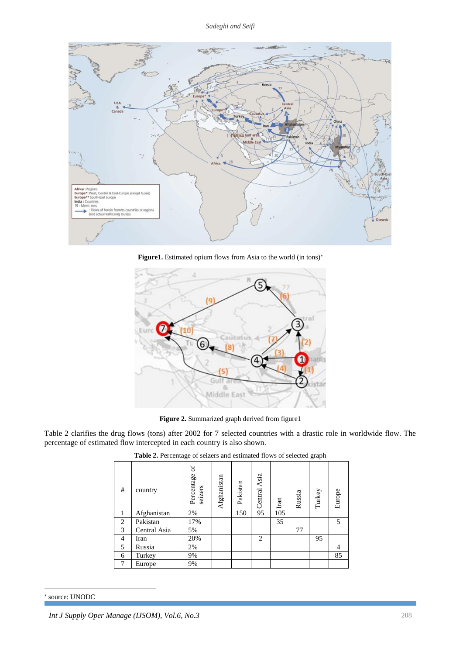

Figure1. Estimated opium flows from Asia to the world (in tons)<sup>\*</sup>



**Figure 2.** Summarized graph derived from figure1

Table 2 clarifies the drug flows (tons) after 2002 for 7 selected countries with a drastic role in worldwide flow. The percentage of estimated flow intercepted in each country is also shown.

| #              | country      | $_{\rm of}$<br>Percentage<br>seizers | Afghanistan | Pakistan | Central Asia   | Iran | Russia | Turkey | Europe |
|----------------|--------------|--------------------------------------|-------------|----------|----------------|------|--------|--------|--------|
|                | Afghanistan  | 2%                                   |             | 150      | 95             | 105  |        |        |        |
| 2              | Pakistan     | 17%                                  |             |          |                | 35   |        |        | 5      |
| 3              | Central Asia | 5%                                   |             |          |                |      | 77     |        |        |
| $\overline{4}$ | Iran         | 20%                                  |             |          | $\overline{2}$ |      |        | 95     |        |
| 5              | Russia       | 2%                                   |             |          |                |      |        |        | 4      |
| 6              | Turkey       | 9%                                   |             |          |                |      |        |        | 85     |
| 7              | Europe       | 9%                                   |             |          |                |      |        |        |        |

**Table 2.** Percentage of seizers and estimated flows of selected graph

### source: UNODC

 $\overline{a}$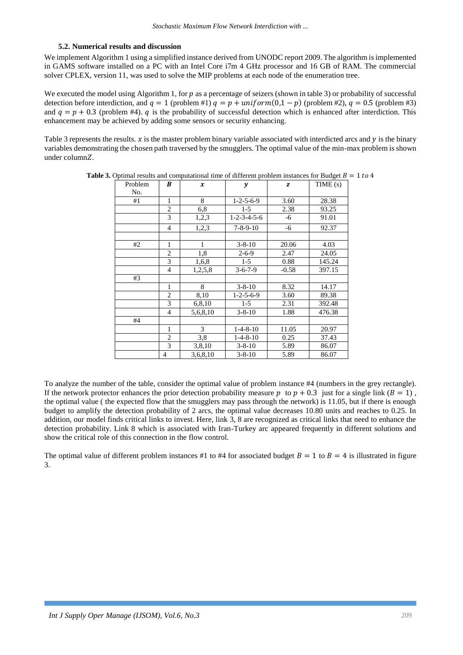### **5.2. Numerical results and discussion**

We implement Algorithm 1 using a simplified instance derived from UNODC report 2009. The algorithm is implemented in GAMS software installed on a PC with an Intel Core i7m 4 GHz processor and 16 GB of RAM. The commercial solver CPLEX, version 11, was used to solve the MIP problems at each node of the enumeration tree.

We executed the model using Algorithm 1, for  $p$  as a percentage of seizers (shown in table 3) or probability of successful detection before interdiction, and  $q = 1$  (problem #1)  $q = p + uniform(0,1-p)$  (problem #2),  $q = 0.5$  (problem #3) and  $q = p + 0.3$  (problem #4). *q* is the probability of successful detection which is enhanced after interdiction. This enhancement may be achieved by adding some sensors or security enhancing.

Table 3 represents the results.  $x$  is the master problem binary variable associated with interdicted arcs and  $y$  is the binary variables demonstrating the chosen path traversed by the smugglers. The optimal value of the min-max problem is shown under column $Z$ .

| Problem | B              | $\boldsymbol{x}$ | y                       | z       | TIME(s) |
|---------|----------------|------------------|-------------------------|---------|---------|
| No.     |                |                  |                         |         |         |
| #1      | 1              | 8                | $1 - 2 - 5 - 6 - 9$     | 3.60    | 28.38   |
|         | $\overline{2}$ | 6,8              | $1-5$                   | 2.38    | 93.25   |
|         | 3              | 1,2,3            | $1 - 2 - 3 - 4 - 5 - 6$ | -6      | 91.01   |
|         | $\overline{4}$ | 1,2,3            | $7 - 8 - 9 - 10$        | -6      | 92.37   |
|         |                |                  |                         |         |         |
| #2      | 1              | 1                | $3 - 8 - 10$            | 20.06   | 4.03    |
|         | $\overline{2}$ | 1,8              | $2 - 6 - 9$             | 2.47    | 24.05   |
|         | 3              | 1,6,8            | $1-5$                   | 0.88    | 145.24  |
|         | $\overline{4}$ | 1,2,5,8          | $3 - 6 - 7 - 9$         | $-0.58$ | 397.15  |
| #3      |                |                  |                         |         |         |
|         | 1              | 8                | $3 - 8 - 10$            | 8.32    | 14.17   |
|         | $\overline{2}$ | 8,10             | $1 - 2 - 5 - 6 - 9$     | 3.60    | 89.38   |
|         | 3              | 6,8,10           | $1-5$                   | 2.31    | 392.48  |
|         | $\overline{4}$ | 5,6,8,10         | $3 - 8 - 10$            | 1.88    | 476.38  |
| #4      |                |                  |                         |         |         |
|         | 1              | 3                | $1-4-8-10$              | 11.05   | 20.97   |
|         | $\overline{2}$ | 3,8              | $1 - 4 - 8 - 10$        | 0.25    | 37.43   |
|         | 3              | 3,8,10           | $3 - 8 - 10$            | 5.89    | 86.07   |
|         | 4              | 3,6,8,10         | $3 - 8 - 10$            | 5.89    | 86.07   |

**Table 3.** Optimal results and computational time of different problem instances for Budget  $B = 1$  to 4

To analyze the number of the table, consider the optimal value of problem instance #4 (numbers in the grey rectangle). If the network protector enhances the prior detection probability measure p to  $p + 0.3$  just for a single link ( $B = 1$ ), the optimal value ( the expected flow that the smugglers may pass through the network) is 11.05, but if there is enough budget to amplify the detection probability of 2 arcs, the optimal value decreases 10.80 units and reaches to 0.25. In addition, our model finds critical links to invest. Here, link 3, 8 are recognized as critical links that need to enhance the detection probability. Link 8 which is associated with Iran-Turkey arc appeared frequently in different solutions and show the critical role of this connection in the flow control.

The optimal value of different problem instances #1 to #4 for associated budget  $B = 1$  to  $B = 4$  is illustrated in figure 3.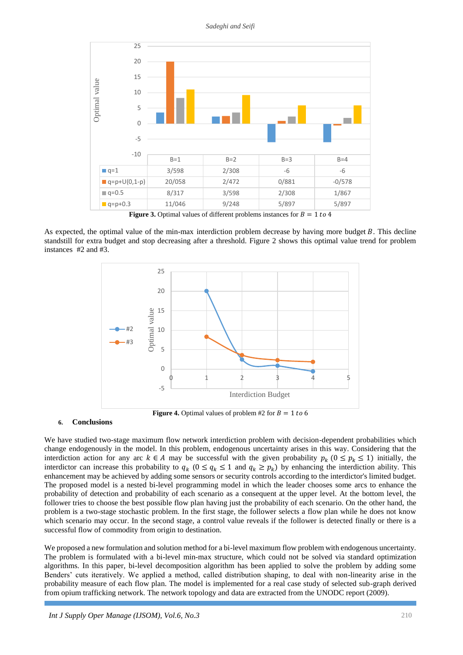*Sadeghi and Seifi*



**Figure 3.** Optimal values of different problems instances for  $B = 1$  to 4

As expected, the optimal value of the min-max interdiction problem decrease by having more budget  $B$ . This decline standstill for extra budget and stop decreasing after a threshold. Figure 2 shows this optimal value trend for problem instances #2 and #3.



**Figure 4.** Optimal values of problem #2 for  $B = 1$  to 6

### **6. Conclusions**

We have studied two-stage maximum flow network interdiction problem with decision-dependent probabilities which change endogenously in the model. In this problem, endogenous uncertainty arises in this way. Considering that the interdiction action for any arc  $k \in A$  may be successful with the given probability  $p_k$  ( $0 \leq p_k \leq 1$ ) initially, the interdictor can increase this probability to  $q_k$  ( $0 \leq q_k \leq 1$  and  $q_k \geq p_k$ ) by enhancing the interdiction ability. This enhancement may be achieved by adding some sensors or security controls according to the interdictor's limited budget. The proposed model is a nested bi-level programming model in which the leader chooses some arcs to enhance the probability of detection and probability of each scenario as a consequent at the upper level. At the bottom level, the follower tries to choose the best possible flow plan having just the probability of each scenario. On the other hand, the problem is a two-stage stochastic problem. In the first stage, the follower selects a flow plan while he does not know which scenario may occur. In the second stage, a control value reveals if the follower is detected finally or there is a successful flow of commodity from origin to destination.

We proposed a new formulation and solution method for a bi-level maximum flow problem with endogenous uncertainty. The problem is formulated with a bi-level min-max structure, which could not be solved via standard optimization algorithms. In this paper, bi-level decomposition algorithm has been applied to solve the problem by adding some Benders' cuts iteratively. We applied a method, called distribution shaping, to deal with non-linearity arise in the probability measure of each flow plan. The model is implemented for a real case study of selected sub-graph derived from opium trafficking network. The network topology and data are extracted from the UNODC report (2009).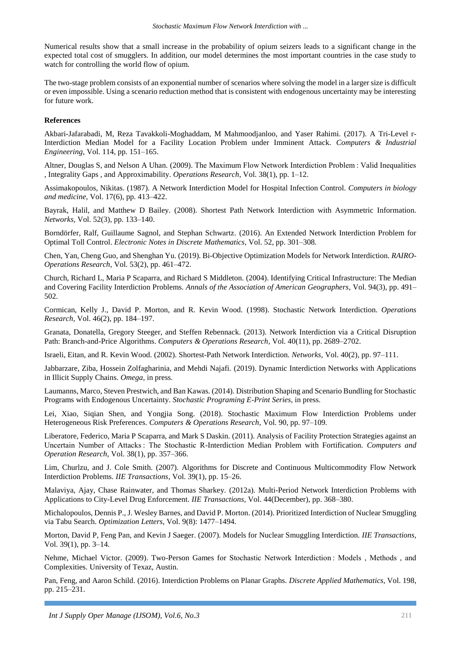Numerical results show that a small increase in the probability of opium seizers leads to a significant change in the expected total cost of smugglers. In addition, our model determines the most important countries in the case study to watch for controlling the world flow of opium.

The two-stage problem consists of an exponential number of scenarios where solving the model in a larger size is difficult or even impossible. Using a scenario reduction method that is consistent with endogenous uncertainty may be interesting for future work.

### **References**

Akbari-Jafarabadi, M, Reza Tavakkoli-Moghaddam, M Mahmoodjanloo, and Yaser Rahimi. (2017). A Tri-Level r-Interdiction Median Model for a Facility Location Problem under Imminent Attack. *Computers & Industrial Engineering,* Vol. 114, pp. 151–165.

Altner, Douglas S, and Nelson A Uhan. (2009). The Maximum Flow Network Interdiction Problem : Valid Inequalities , Integrality Gaps , and Approximability. *Operations Research*, Vol. 38(1), pp. 1–12.

Assimakopoulos, Nikitas. (1987). A Network Interdiction Model for Hospital Infection Control. *Computers in biology and medicine,* Vol. 17(6), pp. 413–422.

Bayrak, Halil, and Matthew D Bailey. (2008). Shortest Path Network Interdiction with Asymmetric Information. *Networks,* Vol. 52(3), pp. 133–140.

Borndörfer, Ralf, Guillaume Sagnol, and Stephan Schwartz. (2016). An Extended Network Interdiction Problem for Optimal Toll Control. *Electronic Notes in Discrete Mathematics,* Vol. 52, pp. 301–308.

Chen, Yan, Cheng Guo, and Shenghan Yu. (2019). Bi-Objective Optimization Models for Network Interdiction. *RAIRO-Operations Research,* Vol. 53(2), pp. 461–472.

Church, Richard L, Maria P Scaparra, and Richard S Middleton. (2004). Identifying Critical Infrastructure: The Median and Covering Facility Interdiction Problems. *Annals of the Association of American Geographers,* Vol. 94(3), pp. 491– 502.

Cormican, Kelly J., David P. Morton, and R. Kevin Wood. (1998). Stochastic Network Interdiction. *Operations Research,* Vol. 46(2), pp. 184–197.

Granata, Donatella, Gregory Steeger, and Steffen Rebennack. (2013). Network Interdiction via a Critical Disruption Path: Branch-and-Price Algorithms. *Computers & Operations Research,* Vol. 40(11), pp. 2689–2702.

Israeli, Eitan, and R. Kevin Wood. (2002). Shortest-Path Network Interdiction. *Networks,* Vol. 40(2), pp. 97–111.

Jabbarzare, Ziba, Hossein Zolfagharinia, and Mehdi Najafi. (2019). Dynamic Interdiction Networks with Applications in Illicit Supply Chains. *Omega*, in press.

Laumanns, Marco, Steven Prestwich, and Ban Kawas. (2014). Distribution Shaping and Scenario Bundling for Stochastic Programs with Endogenous Uncertainty. *Stochastic Programing E-Print Series,* in press.

Lei, Xiao, Siqian Shen, and Yongjia Song. (2018). Stochastic Maximum Flow Interdiction Problems under Heterogeneous Risk Preferences. *Computers & Operations Research,* Vol*.* 90, pp. 97–109.

Liberatore, Federico, Maria P Scaparra, and Mark S Daskin. (2011). Analysis of Facility Protection Strategies against an Uncertain Number of Attacks : The Stochastic R-Interdiction Median Problem with Fortification. *Computers and Operation Research*, Vol. 38(1), pp. 357–366.

Lim, Churlzu, and J. Cole Smith. (2007). Algorithms for Discrete and Continuous Multicommodity Flow Network Interdiction Problems. *IIE Transactions,* Vol. 39(1), pp. 15–26.

Malaviya, Ajay, Chase Rainwater, and Thomas Sharkey. (2012a). Multi-Period Network Interdiction Problems with Applications to City-Level Drug Enforcement. *IIE Transactions,* Vol. 44(December), pp. 368–380.

Michalopoulos, Dennis P., J. Wesley Barnes, and David P. Morton. (2014). Prioritized Interdiction of Nuclear Smuggling via Tabu Search. *Optimization Letters,* Vol. 9(8): 1477–1494.

Morton, David P, Feng Pan, and Kevin J Saeger. (2007). Models for Nuclear Smuggling Interdiction. *IIE Transactions,*  Vol. 39(1), pp. 3–14.

Nehme, Michael Victor. (2009). Two-Person Games for Stochastic Network Interdiction : Models , Methods , and Complexities. University of Texaz, Austin.

Pan, Feng, and Aaron Schild. (2016). Interdiction Problems on Planar Graphs. *Discrete Applied Mathematics*, Vol. 198, pp. 215–231.